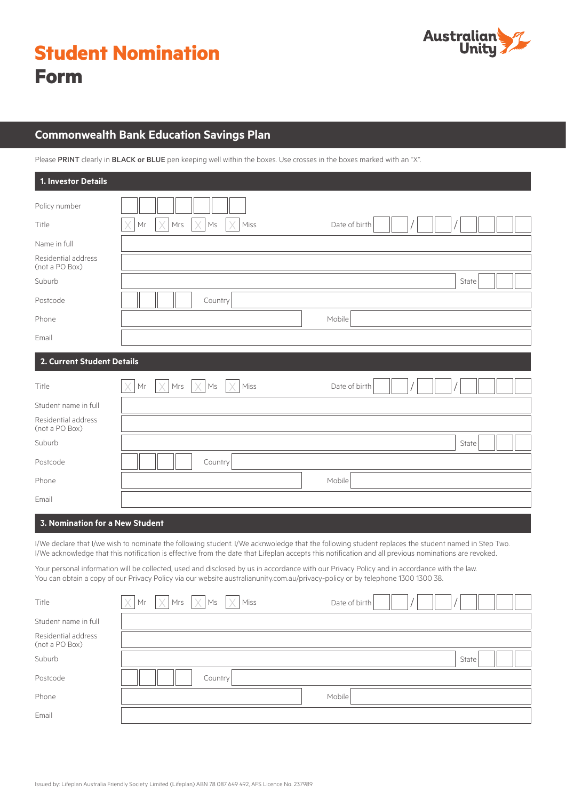| <b>Student Nomination</b> |  |
|---------------------------|--|
| <b>Form</b>               |  |



# **Commonwealth Bank Education Savings Plan**

Please PRINT clearly in BLACK or BLUE pen keeping well within the boxes. Use crosses in the boxes marked with an "X".

| 1. Investor Details                                   |                                                                                                                                                                                                                                                                                                            |
|-------------------------------------------------------|------------------------------------------------------------------------------------------------------------------------------------------------------------------------------------------------------------------------------------------------------------------------------------------------------------|
| Policy number<br>Title                                | Mr<br>Mrs<br>$\mathsf{Ms}$<br>Miss<br>Date of birth                                                                                                                                                                                                                                                        |
|                                                       |                                                                                                                                                                                                                                                                                                            |
| Name in full<br>Residential address<br>(not a PO Box) |                                                                                                                                                                                                                                                                                                            |
| Suburb                                                | State                                                                                                                                                                                                                                                                                                      |
| Postcode                                              | Country                                                                                                                                                                                                                                                                                                    |
| Phone                                                 | Mobile                                                                                                                                                                                                                                                                                                     |
| Email                                                 |                                                                                                                                                                                                                                                                                                            |
| 2. Current Student Details                            |                                                                                                                                                                                                                                                                                                            |
| Title                                                 | Date of birth<br>Mr<br>Mrs<br>Miss<br>Ms                                                                                                                                                                                                                                                                   |
| Student name in full                                  |                                                                                                                                                                                                                                                                                                            |
| Residential address<br>(not a PO Box)                 |                                                                                                                                                                                                                                                                                                            |
| Suburb                                                | State                                                                                                                                                                                                                                                                                                      |
| Postcode                                              | Country                                                                                                                                                                                                                                                                                                    |
| Phone                                                 | Mobile                                                                                                                                                                                                                                                                                                     |
| Email                                                 |                                                                                                                                                                                                                                                                                                            |
| 3. Nomination for a New Student                       |                                                                                                                                                                                                                                                                                                            |
|                                                       | I/We declare that I/we wish to nominate the following student. I/We acknwoledge that the following student replaces the student named in Step Two.<br>I/We acknowledge that this notification is effective from the date that Lifeplan accepts this notification and all previous nominations are revoked. |
|                                                       | Your personal information will be collected, used and disclosed by us in accordance with our Privacy Policy and in accordance with the law.<br>You can obtain a copy of our Privacy Policy via our website australianunity.com.au/privacy-policy or by telephone 1300 1300 38.                             |
| Title                                                 | $\Box$ $\Box$ $\Box$<br>Mrs<br>Miss<br>Date of birth<br>Mr<br>Ms                                                                                                                                                                                                                                           |
| Student name in full                                  |                                                                                                                                                                                                                                                                                                            |
| Residential address<br>(not a PO Box)                 |                                                                                                                                                                                                                                                                                                            |
| Suburb                                                | State                                                                                                                                                                                                                                                                                                      |
| Postcode                                              | Country                                                                                                                                                                                                                                                                                                    |
| Phone                                                 | Mobile                                                                                                                                                                                                                                                                                                     |
| Email                                                 |                                                                                                                                                                                                                                                                                                            |